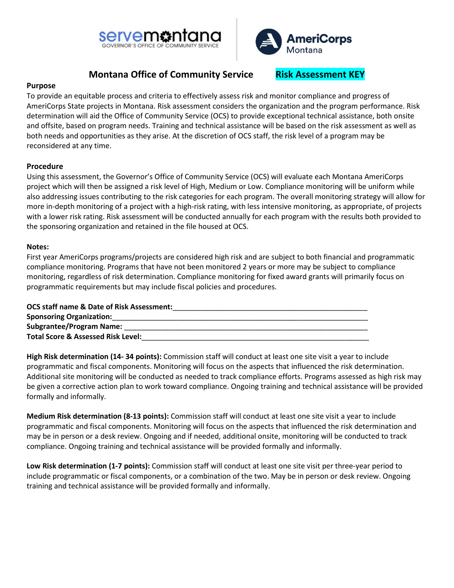



## **Montana Office of Community Service Risk Assessment KEY**

### **Purpose**

To provide an equitable process and criteria to effectively assess risk and monitor compliance and progress of AmeriCorps State projects in Montana. Risk assessment considers the organization and the program performance. Risk determination will aid the Office of Community Service (OCS) to provide exceptional technical assistance, both onsite and offsite, based on program needs. Training and technical assistance will be based on the risk assessment as well as both needs and opportunities as they arise. At the discretion of OCS staff, the risk level of a program may be reconsidered at any time.

### **Procedure**

Using this assessment, the Governor's Office of Community Service (OCS) will evaluate each Montana AmeriCorps project which will then be assigned a risk level of High, Medium or Low. Compliance monitoring will be uniform while also addressing issues contributing to the risk categories for each program. The overall monitoring strategy will allow for more in-depth monitoring of a project with a high-risk rating, with less intensive monitoring, as appropriate, of projects with a lower risk rating. Risk assessment will be conducted annually for each program with the results both provided to the sponsoring organization and retained in the file housed at OCS.

#### **Notes:**

First year AmeriCorps programs/projects are considered high risk and are subject to both financial and programmatic compliance monitoring. Programs that have not been monitored 2 years or more may be subject to compliance monitoring, regardless of risk determination. Compliance monitoring for fixed award grants will primarily focus on programmatic requirements but may include fiscal policies and procedures.

| <b>OCS staff name &amp; Date of Risk Assessment:</b> |
|------------------------------------------------------|
| <b>Sponsoring Organization:</b>                      |
| <b>Subgrantee/Program Name:</b>                      |
| <b>Total Score &amp; Assessed Risk Level:</b>        |

**High Risk determination (14- 34 points):** Commission staff will conduct at least one site visit a year to include programmatic and fiscal components. Monitoring will focus on the aspects that influenced the risk determination. Additional site monitoring will be conducted as needed to track compliance efforts. Programs assessed as high risk may be given a corrective action plan to work toward compliance. Ongoing training and technical assistance will be provided formally and informally.

**Medium Risk determination (8-13 points):** Commission staff will conduct at least one site visit a year to include programmatic and fiscal components. Monitoring will focus on the aspects that influenced the risk determination and may be in person or a desk review. Ongoing and if needed, additional onsite, monitoring will be conducted to track compliance. Ongoing training and technical assistance will be provided formally and informally.

**Low Risk determination (1-7 points):** Commission staff will conduct at least one site visit per three-year period to include programmatic or fiscal components, or a combination of the two. May be in person or desk review. Ongoing training and technical assistance will be provided formally and informally.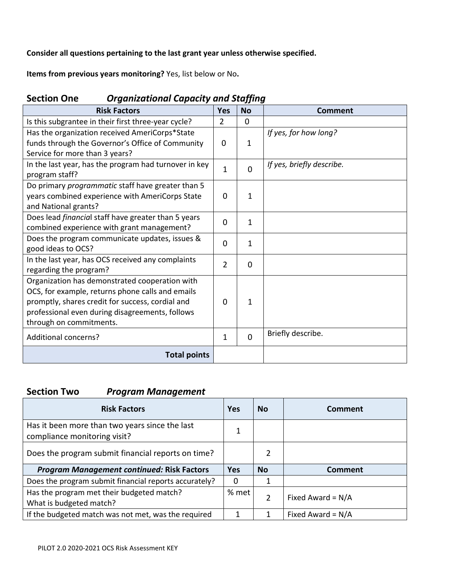**Consider all questions pertaining to the last grant year unless otherwise specified.**

**Items from previous years monitoring?** Yes, list below or No**.**

| sigamzational capacity and stajjing                        |                |             |                           |
|------------------------------------------------------------|----------------|-------------|---------------------------|
| <b>Risk Factors</b>                                        | <b>Yes</b>     | <b>No</b>   | <b>Comment</b>            |
| Is this subgrantee in their first three-year cycle?        | $\overline{2}$ | $\mathbf 0$ |                           |
| Has the organization received AmeriCorps*State             |                |             | If yes, for how long?     |
| funds through the Governor's Office of Community           | 0              | $\mathbf 1$ |                           |
| Service for more than 3 years?                             |                |             |                           |
| In the last year, has the program had turnover in key      | 1              | 0           | If yes, briefly describe. |
| program staff?                                             |                |             |                           |
| Do primary programmatic staff have greater than 5          |                |             |                           |
| years combined experience with AmeriCorps State            | 0              | 1           |                           |
| and National grants?                                       |                |             |                           |
| Does lead <i>financial</i> staff have greater than 5 years | 0              | 1           |                           |
| combined experience with grant management?                 |                |             |                           |
| Does the program communicate updates, issues &             | $\Omega$       | 1           |                           |
| good ideas to OCS?                                         |                |             |                           |
| In the last year, has OCS received any complaints          | 2              | 0           |                           |
| regarding the program?                                     |                |             |                           |
| Organization has demonstrated cooperation with             |                |             |                           |
| OCS, for example, returns phone calls and emails           |                |             |                           |
| promptly, shares credit for success, cordial and           | $\mathbf{0}$   | 1           |                           |
| professional even during disagreements, follows            |                |             |                           |
| through on commitments.                                    |                |             |                           |
| <b>Additional concerns?</b>                                | 1              | 0           | Briefly describe.         |
| <b>Total points</b>                                        |                |             |                           |

## **Section One** *Organizational Capacity and Staffing*

# **Section Two** *Program Management*

| <b>Risk Factors</b>                                                            | <b>Yes</b> | <b>No</b>     | Comment             |
|--------------------------------------------------------------------------------|------------|---------------|---------------------|
| Has it been more than two years since the last<br>compliance monitoring visit? | 1          |               |                     |
| Does the program submit financial reports on time?                             |            | 2             |                     |
|                                                                                |            |               |                     |
| <b>Program Management continued: Risk Factors</b>                              | <b>Yes</b> | <b>No</b>     | <b>Comment</b>      |
| Does the program submit financial reports accurately?                          | 0          |               |                     |
| Has the program met their budgeted match?<br>What is budgeted match?           | % met $ $  | $\mathcal{P}$ | Fixed Award = $N/A$ |